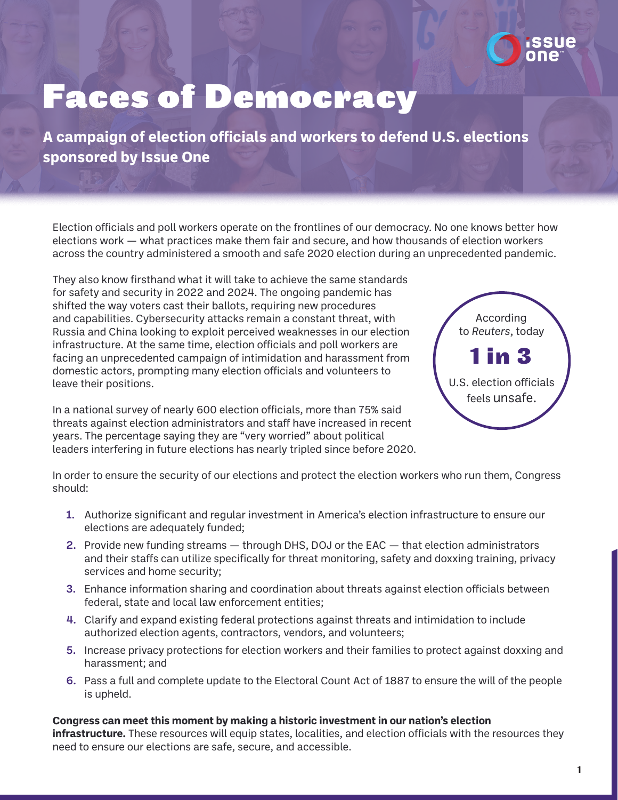

## Faces of Democracy

**A campaign of election officials and workers to defend U.S. elections sponsored by Issue One**

Election officials and poll workers operate on the frontlines of our democracy. No one knows better how elections work — what practices make them fair and secure, and how thousands of election workers across the country administered a smooth and safe 2020 election during an unprecedented pandemic.

They also know firsthand what it will take to achieve the same standards for safety and security in 2022 and 2024. The ongoing pandemic has shifted the way voters cast their ballots, requiring new procedures and capabilities. Cybersecurity attacks remain a constant threat, with Russia and China looking to exploit perceived weaknesses in our election infrastructure. At the same time, election officials and poll workers are facing an unprecedented campaign of intimidation and harassment from domestic actors, prompting many election officials and volunteers to leave their positions.

In a national survey of nearly 600 election officials, more than 75% said threats against election administrators and staff have increased in recent years. The percentage saying they are "very worried" about political leaders interfering in future elections has nearly tripled since before 2020.



In order to ensure the security of our elections and protect the election workers who run them, Congress should:

- 1. Authorize significant and regular investment in America's election infrastructure to ensure our elections are adequately funded;
- 2. Provide new funding streams through DHS, DOJ or the EAC that election administrators and their staffs can utilize specifically for threat monitoring, safety and doxxing training, privacy services and home security;
- 3. Enhance information sharing and coordination about threats against election officials between federal, state and local law enforcement entities;
- 4. Clarify and expand existing federal protections against threats and intimidation to include authorized election agents, contractors, vendors, and volunteers;
- 5. Increase privacy protections for election workers and their families to protect against doxxing and harassment; and
- 6. Pass a full and complete update to the Electoral Count Act of 1887 to ensure the will of the people is upheld.

**Congress can meet this moment by making a historic investment in our nation's election infrastructure.** These resources will equip states, localities, and election officials with the resources they need to ensure our elections are safe, secure, and accessible.